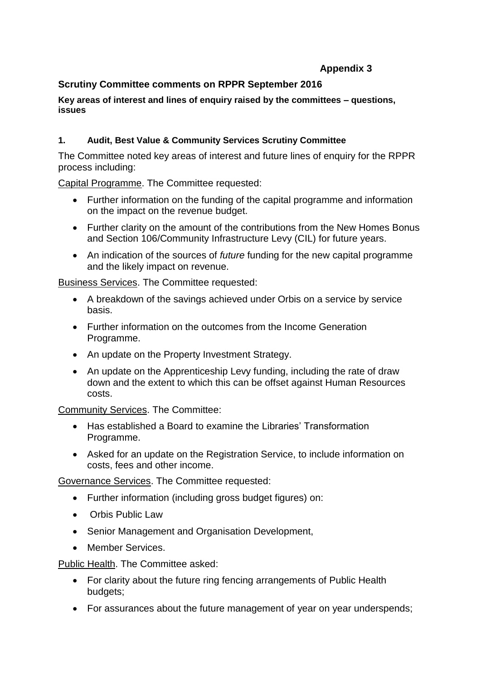# **Appendix 3**

# **Scrutiny Committee comments on RPPR September 2016**

**Key areas of interest and lines of enquiry raised by the committees – questions, issues**

## **1. Audit, Best Value & Community Services Scrutiny Committee**

The Committee noted key areas of interest and future lines of enquiry for the RPPR process including:

Capital Programme. The Committee requested:

- Further information on the funding of the capital programme and information on the impact on the revenue budget.
- Further clarity on the amount of the contributions from the New Homes Bonus and Section 106/Community Infrastructure Levy (CIL) for future years.
- An indication of the sources of *future* funding for the new capital programme and the likely impact on revenue.

Business Services. The Committee requested:

- A breakdown of the savings achieved under Orbis on a service by service basis.
- Further information on the outcomes from the Income Generation Programme.
- An update on the Property Investment Strategy.
- An update on the Apprenticeship Levy funding, including the rate of draw down and the extent to which this can be offset against Human Resources costs.

Community Services. The Committee:

- Has established a Board to examine the Libraries' Transformation Programme.
- Asked for an update on the Registration Service, to include information on costs, fees and other income.

Governance Services. The Committee requested:

- Further information (including gross budget figures) on:
- Orbis Public Law
- Senior Management and Organisation Development,
- Member Services.

Public Health. The Committee asked:

- For clarity about the future ring fencing arrangements of Public Health budgets;
- For assurances about the future management of year on year underspends;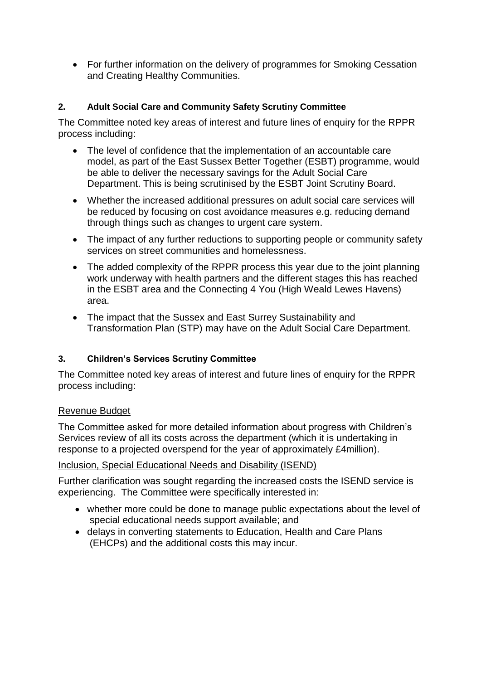• For further information on the delivery of programmes for Smoking Cessation and Creating Healthy Communities.

## **2. Adult Social Care and Community Safety Scrutiny Committee**

The Committee noted key areas of interest and future lines of enquiry for the RPPR process including:

- The level of confidence that the implementation of an accountable care model, as part of the East Sussex Better Together (ESBT) programme, would be able to deliver the necessary savings for the Adult Social Care Department. This is being scrutinised by the ESBT Joint Scrutiny Board.
- Whether the increased additional pressures on adult social care services will be reduced by focusing on cost avoidance measures e.g. reducing demand through things such as changes to urgent care system.
- The impact of any further reductions to supporting people or community safety services on street communities and homelessness.
- The added complexity of the RPPR process this year due to the joint planning work underway with health partners and the different stages this has reached in the ESBT area and the Connecting 4 You (High Weald Lewes Havens) area.
- The impact that the Sussex and East Surrey Sustainability and Transformation Plan (STP) may have on the Adult Social Care Department.

#### **3. Children's Services Scrutiny Committee**

The Committee noted key areas of interest and future lines of enquiry for the RPPR process including:

#### Revenue Budget

The Committee asked for more detailed information about progress with Children's Services review of all its costs across the department (which it is undertaking in response to a projected overspend for the year of approximately £4million).

#### Inclusion, Special Educational Needs and Disability (ISEND)

Further clarification was sought regarding the increased costs the ISEND service is experiencing. The Committee were specifically interested in:

- whether more could be done to manage public expectations about the level of special educational needs support available; and
- delays in converting statements to Education, Health and Care Plans (EHCPs) and the additional costs this may incur.